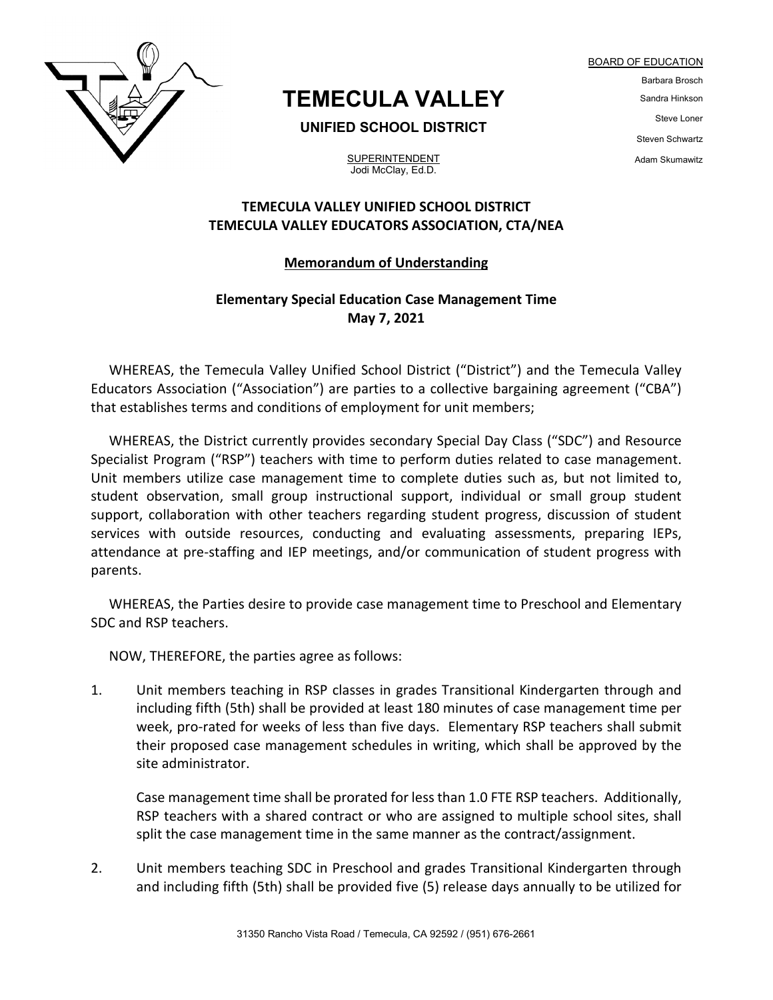

## **TEMECULA VALLEY**

**UNIFIED SCHOOL DISTRICT**

**SUPERINTENDENT** Jodi McClay, Ed.D.

## **TEMECULA VALLEY UNIFIED SCHOOL DISTRICT TEMECULA VALLEY EDUCATORS ASSOCIATION, CTA/NEA**

## **Memorandum of Understanding**

## **Elementary Special Education Case Management Time May 7, 2021**

WHEREAS, the Temecula Valley Unified School District ("District") and the Temecula Valley Educators Association ("Association") are parties to a collective bargaining agreement ("CBA") that establishes terms and conditions of employment for unit members;

WHEREAS, the District currently provides secondary Special Day Class ("SDC") and Resource Specialist Program ("RSP") teachers with time to perform duties related to case management. Unit members utilize case management time to complete duties such as, but not limited to, student observation, small group instructional support, individual or small group student support, collaboration with other teachers regarding student progress, discussion of student services with outside resources, conducting and evaluating assessments, preparing IEPs, attendance at pre-staffing and IEP meetings, and/or communication of student progress with parents.

WHEREAS, the Parties desire to provide case management time to Preschool and Elementary SDC and RSP teachers.

NOW, THEREFORE, the parties agree as follows:

1. Unit members teaching in RSP classes in grades Transitional Kindergarten through and including fifth (5th) shall be provided at least 180 minutes of case management time per week, pro-rated for weeks of less than five days. Elementary RSP teachers shall submit their proposed case management schedules in writing, which shall be approved by the site administrator.

Case management time shall be prorated for less than 1.0 FTE RSP teachers. Additionally, RSP teachers with a shared contract or who are assigned to multiple school sites, shall split the case management time in the same manner as the contract/assignment.

2. Unit members teaching SDC in Preschool and grades Transitional Kindergarten through and including fifth (5th) shall be provided five (5) release days annually to be utilized for

Barbara Brosch Sandra Hinkson Steve Loner Steven Schwartz Adam Skumawitz

BOARD OF EDUCATION